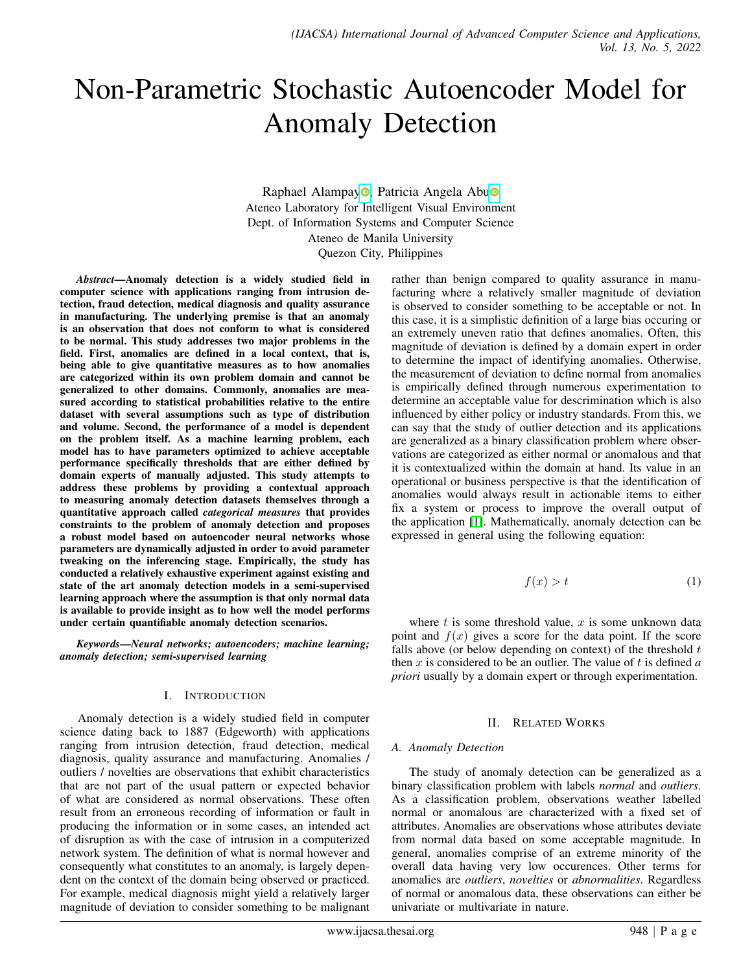# Non-Parametric Stochastic Autoencoder Model for Anomaly Detection

Raphael Alampay<sup>o</sup>[,](https://orcid.org/0000-0001-7498-8830) Patricia Angela Ab[u](https://orcid.org/0000-0002-8848-6644)<sup>o</sup> Ateneo Laboratory for Intelligent Visual Environment Dept. of Information Systems and Computer Science Ateneo de Manila University Quezon City, Philippines

*Abstract*—Anomaly detection is a widely studied field in computer science with applications ranging from intrusion detection, fraud detection, medical diagnosis and quality assurance in manufacturing. The underlying premise is that an anomaly is an observation that does not conform to what is considered to be normal. This study addresses two major problems in the field. First, anomalies are defined in a local context, that is, being able to give quantitative measures as to how anomalies are categorized within its own problem domain and cannot be generalized to other domains. Commonly, anomalies are measured according to statistical probabilities relative to the entire dataset with several assumptions such as type of distribution and volume. Second, the performance of a model is dependent on the problem itself. As a machine learning problem, each model has to have parameters optimized to achieve acceptable performance specifically thresholds that are either defined by domain experts of manually adjusted. This study attempts to address these problems by providing a contextual approach to measuring anomaly detection datasets themselves through a quantitative approach called *categorical measures* that provides constraints to the problem of anomaly detection and proposes a robust model based on autoencoder neural networks whose parameters are dynamically adjusted in order to avoid parameter tweaking on the inferencing stage. Empirically, the study has conducted a relatively exhaustive experiment against existing and state of the art anomaly detection models in a semi-supervised learning approach where the assumption is that only normal data is available to provide insight as to how well the model performs under certain quantifiable anomaly detection scenarios.

*Keywords*—*Neural networks; autoencoders; machine learning; anomaly detection; semi-supervised learning*

## I. INTRODUCTION

Anomaly detection is a widely studied field in computer science dating back to 1887 (Edgeworth) with applications ranging from intrusion detection, fraud detection, medical diagnosis, quality assurance and manufacturing. Anomalies / outliers / novelties are observations that exhibit characteristics that are not part of the usual pattern or expected behavior of what are considered as normal observations. These often result from an erroneous recording of information or fault in producing the information or in some cases, an intended act of disruption as with the case of intrusion in a computerized network system. The definition of what is normal however and consequently what constitutes to an anomaly, is largely dependent on the context of the domain being observed or practiced. For example, medical diagnosis might yield a relatively larger magnitude of deviation to consider something to be malignant rather than benign compared to quality assurance in manufacturing where a relatively smaller magnitude of deviation is observed to consider something to be acceptable or not. In this case, it is a simplistic definition of a large bias occuring or an extremely uneven ratio that defines anomalies. Often, this magnitude of deviation is defined by a domain expert in order to determine the impact of identifying anomalies. Otherwise, the measurement of deviation to define normal from anomalies is empirically defined through numerous experimentation to determine an acceptable value for descrimination which is also influenced by either policy or industry standards. From this, we can say that the study of outlier detection and its applications are generalized as a binary classification problem where observations are categorized as either normal or anomalous and that it is contextualized within the domain at hand. Its value in an operational or business perspective is that the identification of anomalies would always result in actionable items to either fix a system or process to improve the overall output of the application [\[1\]](#page-9-0). Mathematically, anomaly detection can be expressed in general using the following equation:

$$
f(x) > t \tag{1}
$$

where  $t$  is some threshold value,  $x$  is some unknown data point and  $f(x)$  gives a score for the data point. If the score falls above (or below depending on context) of the threshold  $t$ then  $x$  is considered to be an outlier. The value of  $t$  is defined  $a$ *priori* usually by a domain expert or through experimentation.

## II. RELATED WORKS

#### *A. Anomaly Detection*

The study of anomaly detection can be generalized as a binary classification problem with labels *normal* and *outliers*. As a classification problem, observations weather labelled normal or anomalous are characterized with a fixed set of attributes. Anomalies are observations whose attributes deviate from normal data based on some acceptable magnitude. In general, anomalies comprise of an extreme minority of the overall data having very low occurences. Other terms for anomalies are *outliers*, *novelties* or *abnormalities*. Regardless of normal or anomalous data, these observations can either be univariate or multivariate in nature.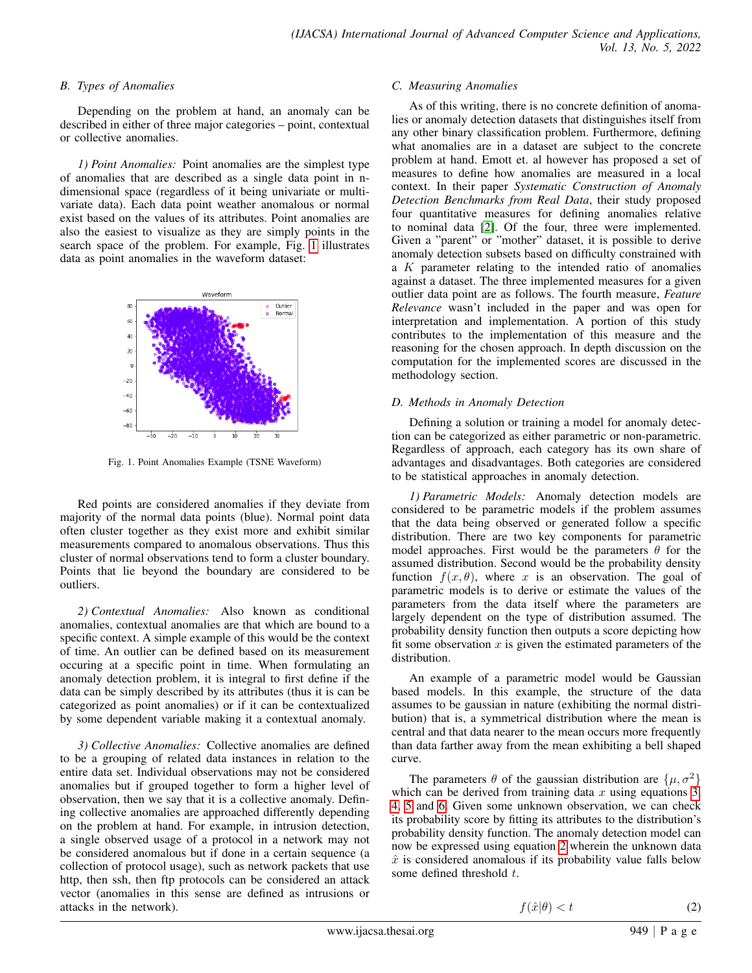## *B. Types of Anomalies*

Depending on the problem at hand, an anomaly can be described in either of three major categories – point, contextual or collective anomalies.

*1) Point Anomalies:* Point anomalies are the simplest type of anomalies that are described as a single data point in ndimensional space (regardless of it being univariate or multivariate data). Each data point weather anomalous or normal exist based on the values of its attributes. Point anomalies are also the easiest to visualize as they are simply points in the search space of the problem. For example, Fig. [1](#page-1-0) illustrates data as point anomalies in the waveform dataset:

<span id="page-1-0"></span>

Fig. 1. Point Anomalies Example (TSNE Waveform)

Red points are considered anomalies if they deviate from majority of the normal data points (blue). Normal point data often cluster together as they exist more and exhibit similar measurements compared to anomalous observations. Thus this cluster of normal observations tend to form a cluster boundary. Points that lie beyond the boundary are considered to be outliers.

*2) Contextual Anomalies:* Also known as conditional anomalies, contextual anomalies are that which are bound to a specific context. A simple example of this would be the context of time. An outlier can be defined based on its measurement occuring at a specific point in time. When formulating an anomaly detection problem, it is integral to first define if the data can be simply described by its attributes (thus it is can be categorized as point anomalies) or if it can be contextualized by some dependent variable making it a contextual anomaly.

*3) Collective Anomalies:* Collective anomalies are defined to be a grouping of related data instances in relation to the entire data set. Individual observations may not be considered anomalies but if grouped together to form a higher level of observation, then we say that it is a collective anomaly. Defining collective anomalies are approached differently depending on the problem at hand. For example, in intrusion detection, a single observed usage of a protocol in a network may not be considered anomalous but if done in a certain sequence (a collection of protocol usage), such as network packets that use http, then ssh, then ftp protocols can be considered an attack vector (anomalies in this sense are defined as intrusions or attacks in the network).

# *C. Measuring Anomalies*

As of this writing, there is no concrete definition of anomalies or anomaly detection datasets that distinguishes itself from any other binary classification problem. Furthermore, defining what anomalies are in a dataset are subject to the concrete problem at hand. Emott et. al however has proposed a set of measures to define how anomalies are measured in a local context. In their paper *Systematic Construction of Anomaly Detection Benchmarks from Real Data*, their study proposed four quantitative measures for defining anomalies relative to nominal data [\[2\]](#page-9-1). Of the four, three were implemented. Given a "parent" or "mother" dataset, it is possible to derive anomaly detection subsets based on difficulty constrained with a K parameter relating to the intended ratio of anomalies against a dataset. The three implemented measures for a given outlier data point are as follows. The fourth measure, *Feature Relevance* wasn't included in the paper and was open for interpretation and implementation. A portion of this study contributes to the implementation of this measure and the reasoning for the chosen approach. In depth discussion on the computation for the implemented scores are discussed in the methodology section.

# *D. Methods in Anomaly Detection*

Defining a solution or training a model for anomaly detection can be categorized as either parametric or non-parametric. Regardless of approach, each category has its own share of advantages and disadvantages. Both categories are considered to be statistical approaches in anomaly detection.

*1) Parametric Models:* Anomaly detection models are considered to be parametric models if the problem assumes that the data being observed or generated follow a specific distribution. There are two key components for parametric model approaches. First would be the parameters  $\theta$  for the assumed distribution. Second would be the probability density function  $f(x, \theta)$ , where x is an observation. The goal of parametric models is to derive or estimate the values of the parameters from the data itself where the parameters are largely dependent on the type of distribution assumed. The probability density function then outputs a score depicting how fit some observation  $x$  is given the estimated parameters of the distribution.

An example of a parametric model would be Gaussian based models. In this example, the structure of the data assumes to be gaussian in nature (exhibiting the normal distribution) that is, a symmetrical distribution where the mean is central and that data nearer to the mean occurs more frequently than data farther away from the mean exhibiting a bell shaped curve.

<span id="page-1-1"></span>The parameters  $\theta$  of the gaussian distribution are  $\{\mu, \sigma^2\}$ which can be derived from training data  $x$  using equations [3,](#page-2-0) [4,](#page-2-1) [5](#page-2-2) and [6.](#page-2-3) Given some unknown observation, we can check its probability score by fitting its attributes to the distribution's probability density function. The anomaly detection model can now be expressed using equation [2](#page-1-1) wherein the unknown data  $\hat{x}$  is considered anomalous if its probability value falls below some defined threshold t.

 $f(\hat{x}|\theta) < t$  (2)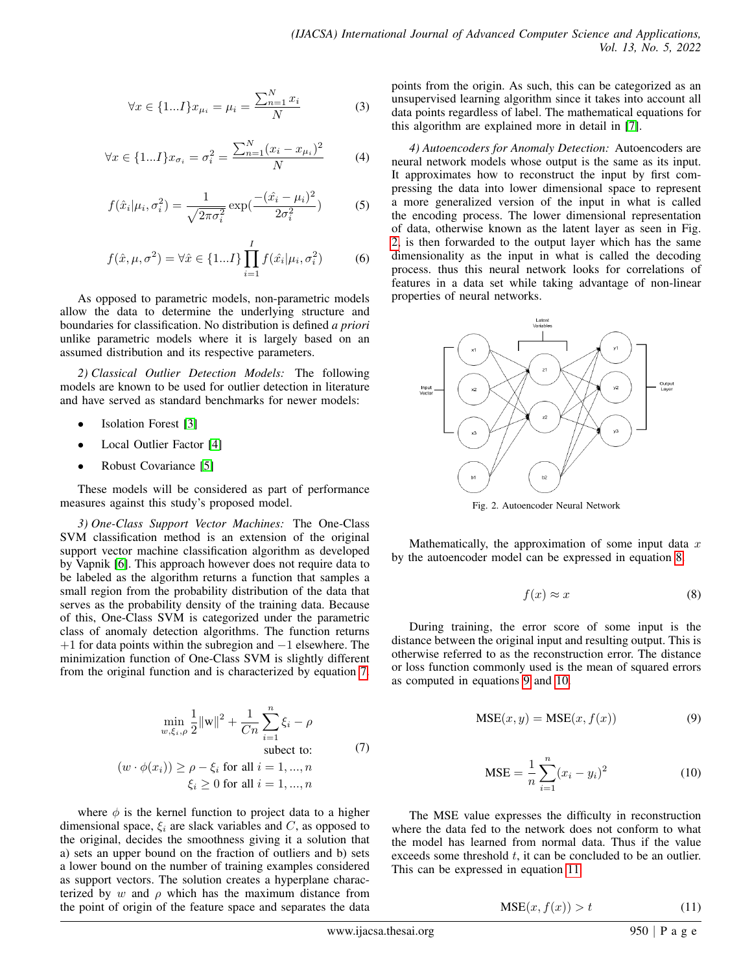<span id="page-2-0"></span>
$$
\forall x \in \{1...I\} x_{\mu_i} = \mu_i = \frac{\sum_{n=1}^{N} x_i}{N}
$$
 (3)

<span id="page-2-1"></span>
$$
\forall x \in \{1...I\} x_{\sigma_i} = \sigma_i^2 = \frac{\sum_{n=1}^{N} (x_i - x_{\mu_i})^2}{N}
$$
 (4)

<span id="page-2-2"></span>
$$
f(\hat{x}_i|\mu_i, \sigma_i^2) = \frac{1}{\sqrt{2\pi\sigma_i^2}} \exp(\frac{-(\hat{x}_i - \mu_i)^2}{2\sigma_i^2})
$$
 (5)

<span id="page-2-3"></span>
$$
f(\hat{x}, \mu, \sigma^2) = \forall \hat{x} \in \{1...I\} \prod_{i=1}^{I} f(\hat{x_i} | \mu_i, \sigma_i^2)
$$
 (6)

As opposed to parametric models, non-parametric models allow the data to determine the underlying structure and boundaries for classification. No distribution is defined *a priori* unlike parametric models where it is largely based on an assumed distribution and its respective parameters.

*2) Classical Outlier Detection Models:* The following models are known to be used for outlier detection in literature and have served as standard benchmarks for newer models:

- Isolation Forest [\[3\]](#page-9-2)
- Local Outlier Factor [\[4\]](#page-9-3)
- Robust Covariance [\[5\]](#page-10-0)

These models will be considered as part of performance measures against this study's proposed model.

*3) One-Class Support Vector Machines:* The One-Class SVM classification method is an extension of the original support vector machine classification algorithm as developed by Vapnik [\[6\]](#page-10-1). This approach however does not require data to be labeled as the algorithm returns a function that samples a small region from the probability distribution of the data that serves as the probability density of the training data. Because of this, One-Class SVM is categorized under the parametric class of anomaly detection algorithms. The function returns  $+1$  for data points within the subregion and  $-1$  elsewhere. The minimization function of One-Class SVM is slightly different from the original function and is characterized by equation [7.](#page-2-4)

<span id="page-2-4"></span>
$$
\min_{w,\xi_i,\rho} \frac{1}{2} ||w||^2 + \frac{1}{Cn} \sum_{i=1}^n \xi_i - \rho
$$
\n
$$
\text{subset to:} \qquad \text{(1)}
$$
\n
$$
(w \cdot \phi(x_i)) \ge \rho - \xi_i \text{ for all } i = 1, ..., n
$$
\n
$$
\xi_i \ge 0 \text{ for all } i = 1, ..., n
$$
\n(7)

where  $\phi$  is the kernel function to project data to a higher dimensional space,  $\xi_i$  are slack variables and C, as opposed to the original, decides the smoothness giving it a solution that a) sets an upper bound on the fraction of outliers and b) sets a lower bound on the number of training examples considered as support vectors. The solution creates a hyperplane characterized by w and  $\rho$  which has the maximum distance from the point of origin of the feature space and separates the data

points from the origin. As such, this can be categorized as an unsupervised learning algorithm since it takes into account all data points regardless of label. The mathematical equations for this algorithm are explained more in detail in [\[7\]](#page-10-2).

*4) Autoencoders for Anomaly Detection:* Autoencoders are neural network models whose output is the same as its input. It approximates how to reconstruct the input by first compressing the data into lower dimensional space to represent a more generalized version of the input in what is called the encoding process. The lower dimensional representation of data, otherwise known as the latent layer as seen in Fig. [2,](#page-2-5) is then forwarded to the output layer which has the same dimensionality as the input in what is called the decoding process. thus this neural network looks for correlations of features in a data set while taking advantage of non-linear properties of neural networks.

<span id="page-2-5"></span>

Fig. 2. Autoencoder Neural Network

<span id="page-2-6"></span>Mathematically, the approximation of some input data  $x$ by the autoencoder model can be expressed in equation [8.](#page-2-6)

$$
f(x) \approx x \tag{8}
$$

<span id="page-2-7"></span>During training, the error score of some input is the distance between the original input and resulting output. This is otherwise referred to as the reconstruction error. The distance or loss function commonly used is the mean of squared errors as computed in equations [9](#page-2-7) and [10.](#page-2-8)

$$
MSE(x, y) = MSE(x, f(x))
$$
\n(9)

$$
\text{MSE} = \frac{1}{n} \sum_{i=1}^{n} (x_i - y_i)^2 \tag{10}
$$

<span id="page-2-9"></span><span id="page-2-8"></span>The MSE value expresses the difficulty in reconstruction where the data fed to the network does not conform to what the model has learned from normal data. Thus if the value exceeds some threshold  $t$ , it can be concluded to be an outlier. This can be expressed in equation [11.](#page-2-9)

$$
MSE(x, f(x)) > t
$$
 (11)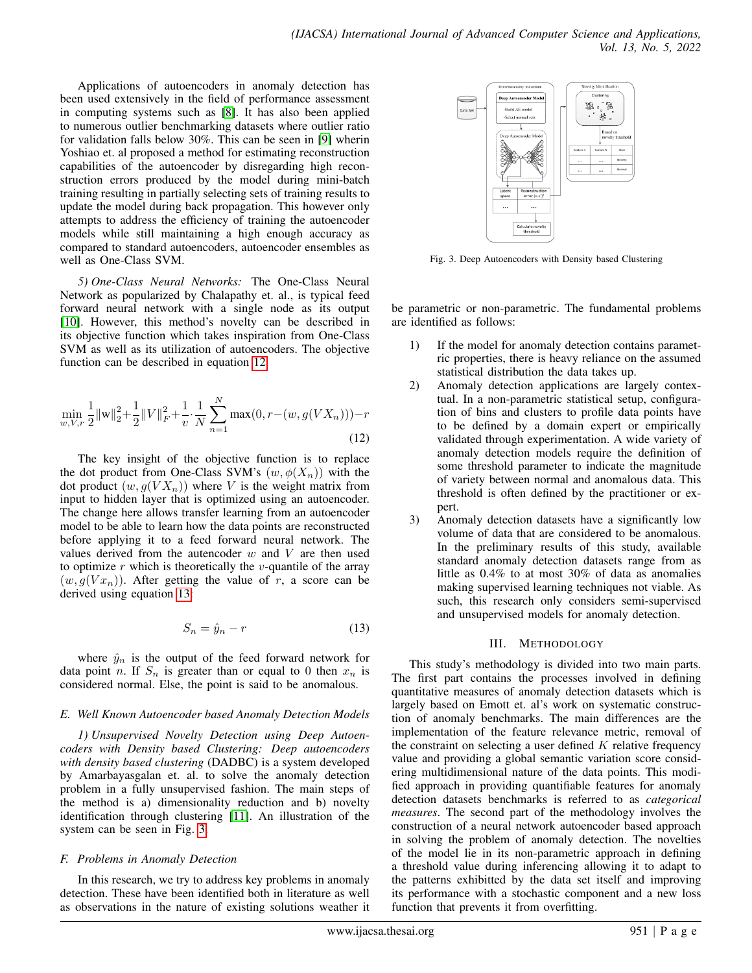Applications of autoencoders in anomaly detection has been used extensively in the field of performance assessment in computing systems such as [\[8\]](#page-10-3). It has also been applied to numerous outlier benchmarking datasets where outlier ratio for validation falls below 30%. This can be seen in [\[9\]](#page-10-4) wherin Yoshiao et. al proposed a method for estimating reconstruction capabilities of the autoencoder by disregarding high reconstruction errors produced by the model during mini-batch training resulting in partially selecting sets of training results to update the model during back propagation. This however only attempts to address the efficiency of training the autoencoder models while still maintaining a high enough accuracy as compared to standard autoencoders, autoencoder ensembles as well as One-Class SVM.

*5) One-Class Neural Networks:* The One-Class Neural Network as popularized by Chalapathy et. al., is typical feed forward neural network with a single node as its output [\[10\]](#page-10-5). However, this method's novelty can be described in its objective function which takes inspiration from One-Class SVM as well as its utilization of autoencoders. The objective function can be described in equation [12.](#page-3-0)

<span id="page-3-0"></span>
$$
\min_{w, V, r} \frac{1}{2} ||w||_2^2 + \frac{1}{2} ||V||_F^2 + \frac{1}{v} \cdot \frac{1}{N} \sum_{n=1}^N \max(0, r - (w, g(VX_n))) - r
$$
\n(12)

The key insight of the objective function is to replace the dot product from One-Class SVM's  $(w, \phi(X_n))$  with the dot product  $(w, g(VX_n))$  where V is the weight matrix from input to hidden layer that is optimized using an autoencoder. The change here allows transfer learning from an autoencoder model to be able to learn how the data points are reconstructed before applying it to a feed forward neural network. The values derived from the autencoder  $w$  and  $V$  are then used to optimize  $r$  which is theoretically the  $v$ -quantile of the array  $(w, g(Vx_n))$ . After getting the value of r, a score can be derived using equation [13:](#page-3-1)

$$
S_n = \hat{y}_n - r \tag{13}
$$

<span id="page-3-1"></span>where  $\hat{y}_n$  is the output of the feed forward network for data point n. If  $S_n$  is greater than or equal to 0 then  $x_n$  is considered normal. Else, the point is said to be anomalous.

# *E. Well Known Autoencoder based Anomaly Detection Models*

*1) Unsupervised Novelty Detection using Deep Autoencoders with Density based Clustering: Deep autoencoders with density based clustering* (DADBC) is a system developed by Amarbayasgalan et. al. to solve the anomaly detection problem in a fully unsupervised fashion. The main steps of the method is a) dimensionality reduction and b) novelty identification through clustering [\[11\]](#page-10-6). An illustration of the system can be seen in Fig. [3.](#page-3-2)

# *F. Problems in Anomaly Detection*

In this research, we try to address key problems in anomaly detection. These have been identified both in literature as well as observations in the nature of existing solutions weather it

<span id="page-3-2"></span>

Fig. 3. Deep Autoencoders with Density based Clustering

be parametric or non-parametric. The fundamental problems are identified as follows:

- 1) If the model for anomaly detection contains parametric properties, there is heavy reliance on the assumed statistical distribution the data takes up.
- 2) Anomaly detection applications are largely contextual. In a non-parametric statistical setup, configuration of bins and clusters to profile data points have to be defined by a domain expert or empirically validated through experimentation. A wide variety of anomaly detection models require the definition of some threshold parameter to indicate the magnitude of variety between normal and anomalous data. This threshold is often defined by the practitioner or expert.
- 3) Anomaly detection datasets have a significantly low volume of data that are considered to be anomalous. In the preliminary results of this study, available standard anomaly detection datasets range from as little as 0.4% to at most 30% of data as anomalies making supervised learning techniques not viable. As such, this research only considers semi-supervised and unsupervised models for anomaly detection.

# III. METHODOLOGY

This study's methodology is divided into two main parts. The first part contains the processes involved in defining quantitative measures of anomaly detection datasets which is largely based on Emott et. al's work on systematic construction of anomaly benchmarks. The main differences are the implementation of the feature relevance metric, removal of the constraint on selecting a user defined  $K$  relative frequency value and providing a global semantic variation score considering multidimensional nature of the data points. This modified approach in providing quantifiable features for anomaly detection datasets benchmarks is referred to as *categorical measures*. The second part of the methodology involves the construction of a neural network autoencoder based approach in solving the problem of anomaly detection. The novelties of the model lie in its non-parametric approach in defining a threshold value during inferencing allowing it to adapt to the patterns exhibitted by the data set itself and improving its performance with a stochastic component and a new loss function that prevents it from overfitting.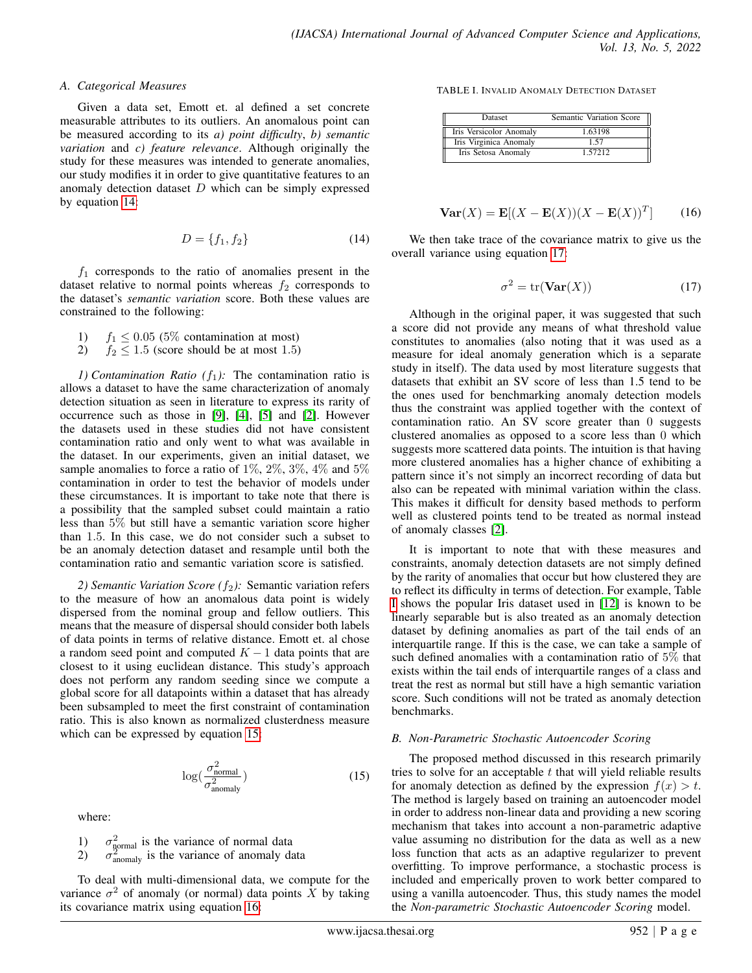#### *A. Categorical Measures*

Given a data set, Emott et. al defined a set concrete measurable attributes to its outliers. An anomalous point can be measured according to its *a) point difficulty*, *b) semantic variation* and *c) feature relevance*. Although originally the study for these measures was intended to generate anomalies, our study modifies it in order to give quantitative features to an anomaly detection dataset  $D$  which can be simply expressed by equation [14:](#page-4-0)

$$
D = \{f_1, f_2\} \tag{14}
$$

<span id="page-4-0"></span> $f_1$  corresponds to the ratio of anomalies present in the dataset relative to normal points whereas  $f_2$  corresponds to the dataset's *semantic variation* score. Both these values are constrained to the following:

- 1)  $f_1 \le 0.05$  (5% contamination at most)<br>2)  $f_2 < 1.5$  (score should be at most 1.5)
- $f_2 \leq 1.5$  (score should be at most 1.5)

*1) Contamination Ratio*  $(f_1)$ : The contamination ratio is allows a dataset to have the same characterization of anomaly detection situation as seen in literature to express its rarity of occurrence such as those in [\[9\]](#page-10-4), [\[4\]](#page-9-3), [\[5\]](#page-10-0) and [\[2\]](#page-9-1). However the datasets used in these studies did not have consistent contamination ratio and only went to what was available in the dataset. In our experiments, given an initial dataset, we sample anomalies to force a ratio of  $1\%, 2\%, 3\%, 4\%$  and  $5\%$ contamination in order to test the behavior of models under these circumstances. It is important to take note that there is a possibility that the sampled subset could maintain a ratio less than 5% but still have a semantic variation score higher than 1.5. In this case, we do not consider such a subset to be an anomaly detection dataset and resample until both the contamination ratio and semantic variation score is satisfied.

*2) Semantic Variation Score*  $(f_2)$ : Semantic variation refers to the measure of how an anomalous data point is widely dispersed from the nominal group and fellow outliers. This means that the measure of dispersal should consider both labels of data points in terms of relative distance. Emott et. al chose a random seed point and computed  $K - 1$  data points that are closest to it using euclidean distance. This study's approach does not perform any random seeding since we compute a global score for all datapoints within a dataset that has already been subsampled to meet the first constraint of contamination ratio. This is also known as normalized clusterdness measure which can be expressed by equation [15:](#page-4-1)

$$
\log(\frac{\sigma_{\text{normal}}^2}{\sigma_{\text{anomaly}}^2})\tag{15}
$$

<span id="page-4-1"></span>where:

1)  $\sigma_{\text{normal}}^2$  is the variance of normal data

2)  $\sigma_{\text{anomaly}}^2$  is the variance of anomaly data

<span id="page-4-2"></span>To deal with multi-dimensional data, we compute for the variance  $\sigma^2$  of anomaly (or normal) data points  $\tilde{X}$  by taking its covariance matrix using equation [16:](#page-4-2)

<span id="page-4-4"></span>TABLE I. INVALID ANOMALY DETECTION DATASET

| Dataset                 | Semantic Variation Score |
|-------------------------|--------------------------|
| Iris Versicolor Anomaly | 1.63198                  |
| Iris Virginica Anomaly  | 157                      |
| Iris Setosa Anomaly     | 1 57212                  |

$$
\mathbf{Var}(X) = \mathbf{E}[(X - \mathbf{E}(X))(X - \mathbf{E}(X))^T] \quad (16)
$$

<span id="page-4-3"></span>We then take trace of the covariance matrix to give us the overall variance using equation [17:](#page-4-3)

$$
\sigma^2 = \text{tr}(\mathbf{Var}(X))\tag{17}
$$

Although in the original paper, it was suggested that such a score did not provide any means of what threshold value constitutes to anomalies (also noting that it was used as a measure for ideal anomaly generation which is a separate study in itself). The data used by most literature suggests that datasets that exhibit an SV score of less than 1.5 tend to be the ones used for benchmarking anomaly detection models thus the constraint was applied together with the context of contamination ratio. An SV score greater than 0 suggests clustered anomalies as opposed to a score less than 0 which suggests more scattered data points. The intuition is that having more clustered anomalies has a higher chance of exhibiting a pattern since it's not simply an incorrect recording of data but also can be repeated with minimal variation within the class. This makes it difficult for density based methods to perform well as clustered points tend to be treated as normal instead of anomaly classes [\[2\]](#page-9-1).

It is important to note that with these measures and constraints, anomaly detection datasets are not simply defined by the rarity of anomalies that occur but how clustered they are to reflect its difficulty in terms of detection. For example, Table [I](#page-4-4) shows the popular Iris dataset used in [\[12\]](#page-10-7) is known to be linearly separable but is also treated as an anomaly detection dataset by defining anomalies as part of the tail ends of an interquartile range. If this is the case, we can take a sample of such defined anomalies with a contamination ratio of 5% that exists within the tail ends of interquartile ranges of a class and treat the rest as normal but still have a high semantic variation score. Such conditions will not be trated as anomaly detection benchmarks.

# *B. Non-Parametric Stochastic Autoencoder Scoring*

The proposed method discussed in this research primarily tries to solve for an acceptable  $t$  that will yield reliable results for anomaly detection as defined by the expression  $f(x) > t$ . The method is largely based on training an autoencoder model in order to address non-linear data and providing a new scoring mechanism that takes into account a non-parametric adaptive value assuming no distribution for the data as well as a new loss function that acts as an adaptive regularizer to prevent overfitting. To improve performance, a stochastic process is included and emperically proven to work better compared to using a vanilla autoencoder. Thus, this study names the model the *Non-parametric Stochastic Autoencoder Scoring* model.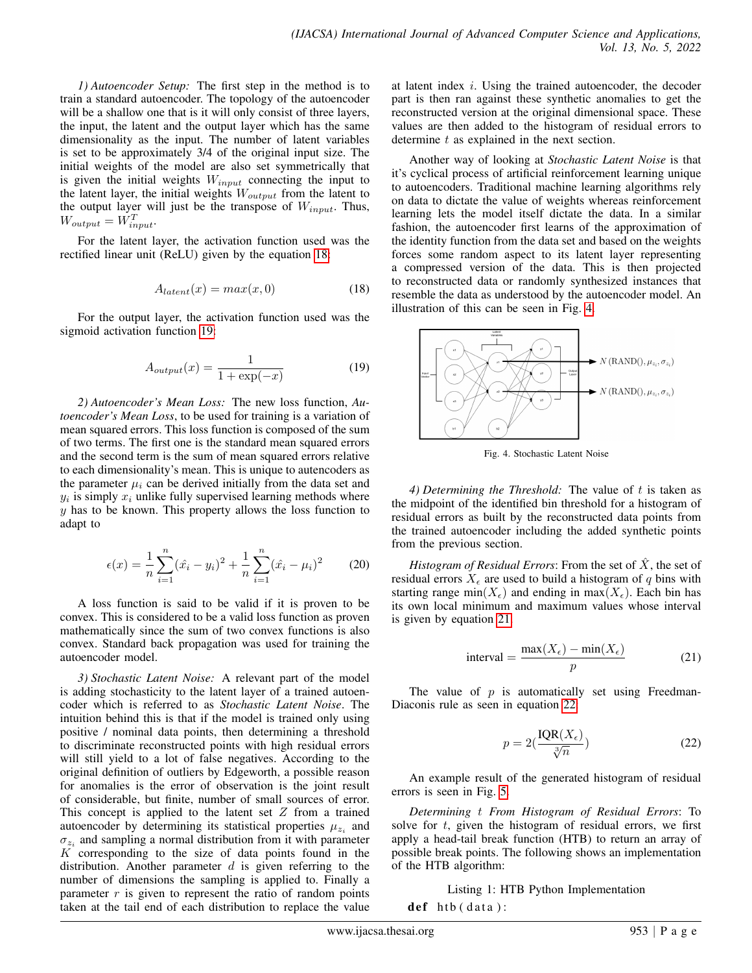*1) Autoencoder Setup:* The first step in the method is to train a standard autoencoder. The topology of the autoencoder will be a shallow one that is it will only consist of three layers, the input, the latent and the output layer which has the same dimensionality as the input. The number of latent variables is set to be approximately 3/4 of the original input size. The initial weights of the model are also set symmetrically that is given the initial weights  $W_{input}$  connecting the input to the latent layer, the initial weights  $W_{output}$  from the latent to the output layer will just be the transpose of  $W_{input}$ . Thus,  $W_{output} = W_{input}^T$ .

<span id="page-5-0"></span>For the latent layer, the activation function used was the rectified linear unit (ReLU) given by the equation [18:](#page-5-0)

$$
A_{latent}(x) = max(x, 0)
$$
 (18)

<span id="page-5-1"></span>For the output layer, the activation function used was the sigmoid activation function [19:](#page-5-1)

$$
A_{output}(x) = \frac{1}{1 + \exp(-x)}\tag{19}
$$

*2) Autoencoder's Mean Loss:* The new loss function, *Autoencoder's Mean Loss*, to be used for training is a variation of mean squared errors. This loss function is composed of the sum of two terms. The first one is the standard mean squared errors and the second term is the sum of mean squared errors relative to each dimensionality's mean. This is unique to autencoders as the parameter  $\mu_i$  can be derived initially from the data set and  $y_i$  is simply  $x_i$  unlike fully supervised learning methods where  $y$  has to be known. This property allows the loss function to adapt to

$$
\epsilon(x) = \frac{1}{n} \sum_{i=1}^{n} (\hat{x}_i - y_i)^2 + \frac{1}{n} \sum_{i=1}^{n} (\hat{x}_i - \mu_i)^2
$$
 (20)

A loss function is said to be valid if it is proven to be convex. This is considered to be a valid loss function as proven mathematically since the sum of two convex functions is also convex. Standard back propagation was used for training the autoencoder model.

*3) Stochastic Latent Noise:* A relevant part of the model is adding stochasticity to the latent layer of a trained autoencoder which is referred to as *Stochastic Latent Noise*. The intuition behind this is that if the model is trained only using positive / nominal data points, then determining a threshold to discriminate reconstructed points with high residual errors will still yield to a lot of false negatives. According to the original definition of outliers by Edgeworth, a possible reason for anomalies is the error of observation is the joint result of considerable, but finite, number of small sources of error. This concept is applied to the latent set  $Z$  from a trained autoencoder by determining its statistical properties  $\mu_{z_i}$  and  $\sigma_{z_i}$  and sampling a normal distribution from it with parameter  $K$  corresponding to the size of data points found in the distribution. Another parameter  $d$  is given referring to the number of dimensions the sampling is applied to. Finally a parameter  $r$  is given to represent the ratio of random points taken at the tail end of each distribution to replace the value

at latent index i. Using the trained autoencoder, the decoder part is then ran against these synthetic anomalies to get the reconstructed version at the original dimensional space. These values are then added to the histogram of residual errors to determine t as explained in the next section.

Another way of looking at *Stochastic Latent Noise* is that it's cyclical process of artificial reinforcement learning unique to autoencoders. Traditional machine learning algorithms rely on data to dictate the value of weights whereas reinforcement learning lets the model itself dictate the data. In a similar fashion, the autoencoder first learns of the approximation of the identity function from the data set and based on the weights forces some random aspect to its latent layer representing a compressed version of the data. This is then projected to reconstructed data or randomly synthesized instances that resemble the data as understood by the autoencoder model. An illustration of this can be seen in Fig. [4.](#page-5-2)

<span id="page-5-2"></span>

Fig. 4. Stochastic Latent Noise

*4) Determining the Threshold:* The value of t is taken as the midpoint of the identified bin threshold for a histogram of residual errors as built by the reconstructed data points from the trained autoencoder including the added synthetic points from the previous section.

*Histogram of Residual Errors*: From the set of  $\overline{X}$ , the set of residual errors  $X_{\epsilon}$  are used to build a histogram of q bins with starting range min $(X_{\epsilon})$  and ending in max $(X_{\epsilon})$ . Each bin has its own local minimum and maximum values whose interval is given by equation [21.](#page-5-3)

interval = 
$$
\frac{\max(X_{\epsilon}) - \min(X_{\epsilon})}{p}
$$
 (21)

<span id="page-5-4"></span><span id="page-5-3"></span>The value of  $p$  is automatically set using Freedman-Diaconis rule as seen in equation [22:](#page-5-4)

$$
p = 2\left(\frac{\text{IQR}(X_{\epsilon})}{\sqrt[3]{n}}\right) \tag{22}
$$

An example result of the generated histogram of residual errors is seen in Fig. [5.](#page-6-0)

*Determining* t *From Histogram of Residual Errors*: To solve for  $t$ , given the histogram of residual errors, we first apply a head-tail break function (HTB) to return an array of possible break points. The following shows an implementation of the HTB algorithm:

Listing 1: HTB Python Implementation

 $def$  htb (data):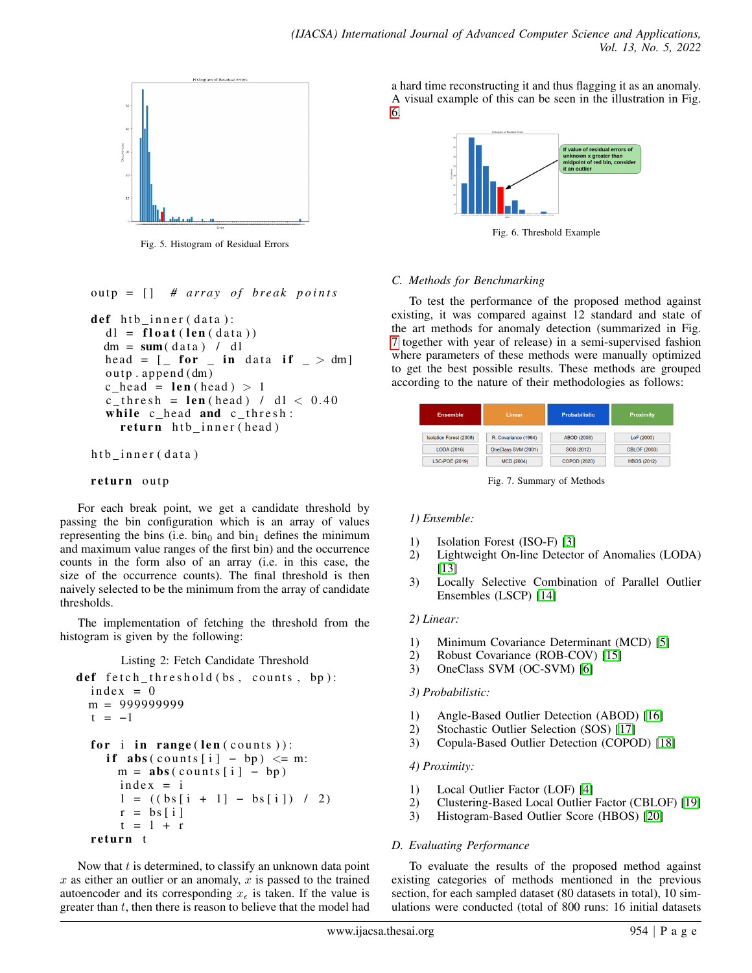<span id="page-6-0"></span>

Fig. 5. Histogram of Residual Errors

outp = [] # array of break points

```
def htb inner (data):
dl = float (len (data))
dm = sum(data) / dlhead = [- for [- in data if \ge dm]
ou tp . append (dm)
c_{\text{head}} = \text{len}(\text{head}) > 1c_{\text{thresh}} = \text{len}(\text{head}) / d1 < 0.40while c head and c thresh:
   return htb inner (head)
```

```
htb inner (data)
```
## return outp

For each break point, we get a candidate threshold by passing the bin configuration which is an array of values representing the bins (i.e.  $\sin_0$  and  $\sin_1$  defines the minimum and maximum value ranges of the first bin) and the occurrence counts in the form also of an array (i.e. in this case, the size of the occurrence counts). The final threshold is then naively selected to be the minimum from the array of candidate thresholds.

The implementation of fetching the threshold from the histogram is given by the following:

```
Listing 2: Fetch Candidate Threshold
```

```
def f (t) fetch _threshold (bs, counts, bp):
index = 0m = 999999999
t = -1for i in range (len (counts)):
  if abs ( counts [i] - bp) \leq m:
    m = abs(counds[i] - bp)index = il = ((bs[i + 1] - bs[i]) / 2)r = bs[i]t = 1 + rreturn t
```
Now that  $t$  is determined, to classify an unknown data point  $x$  as either an outlier or an anomaly,  $x$  is passed to the trained autoencoder and its corresponding  $x_{\epsilon}$  is taken. If the value is greater than  $t$ , then there is reason to believe that the model had <span id="page-6-1"></span>a hard time reconstructing it and thus flagging it as an anomaly. A visual example of this can be seen in the illustration in Fig. [6.](#page-6-1)



Fig. 6. Threshold Example

# *C. Methods for Benchmarking*

To test the performance of the proposed method against existing, it was compared against 12 standard and state of the art methods for anomaly detection (summarized in Fig. [7](#page-6-2) together with year of release) in a semi-supervised fashion where parameters of these methods were manually optimized to get the best possible results. These methods are grouped according to the nature of their methodologies as follows:

<span id="page-6-2"></span>

| <b>Ensemble</b>         | Linear               | <b>Probabilistic</b> | <b>Proximity</b>    |
|-------------------------|----------------------|----------------------|---------------------|
| Isolation Forest (2008) | R. Covariance (1994) | ABOD (2008)          | LoF (2000)          |
| <b>LODA (2016)</b>      | OneClass SVM (2001)  | SOS (2012)           | <b>CBLOF (2003)</b> |
| LSC-POE (2019)          | <b>MCD (2004)</b>    | COPOD (2020)         | <b>HBOS (2012)</b>  |

Fig. 7. Summary of Methods

# *1) Ensemble:*

- 1) Isolation Forest (ISO-F) [\[3\]](#page-9-2)
- 2) Lightweight On-line Detector of Anomalies (LODA) [\[13\]](#page-10-8)
- 3) Locally Selective Combination of Parallel Outlier Ensembles (LSCP) [\[14\]](#page-10-9)

## *2) Linear:*

- 1) Minimum Covariance Determinant (MCD) [\[5\]](#page-10-0)
- 2) Robust Covariance (ROB-COV) [\[15\]](#page-10-10)<br>3) OneClass SVM (OC-SVM) [6]
- 3) OneClass SVM (OC-SVM) [\[6\]](#page-10-1)

## *3) Probabilistic:*

- 1) Angle-Based Outlier Detection (ABOD) [\[16\]](#page-10-11)
- 2) Stochastic Outlier Selection (SOS) [\[17\]](#page-10-12)
- 3) Copula-Based Outlier Detection (COPOD) [\[18\]](#page-10-13)

## *4) Proximity:*

- 1) Local Outlier Factor (LOF) [\[4\]](#page-9-3)
- 2) Clustering-Based Local Outlier Factor (CBLOF) [\[19\]](#page-10-14)
- 3) Histogram-Based Outlier Score (HBOS) [\[20\]](#page-10-15)

## *D. Evaluating Performance*

To evaluate the results of the proposed method against existing categories of methods mentioned in the previous section, for each sampled dataset (80 datasets in total), 10 simulations were conducted (total of 800 runs: 16 initial datasets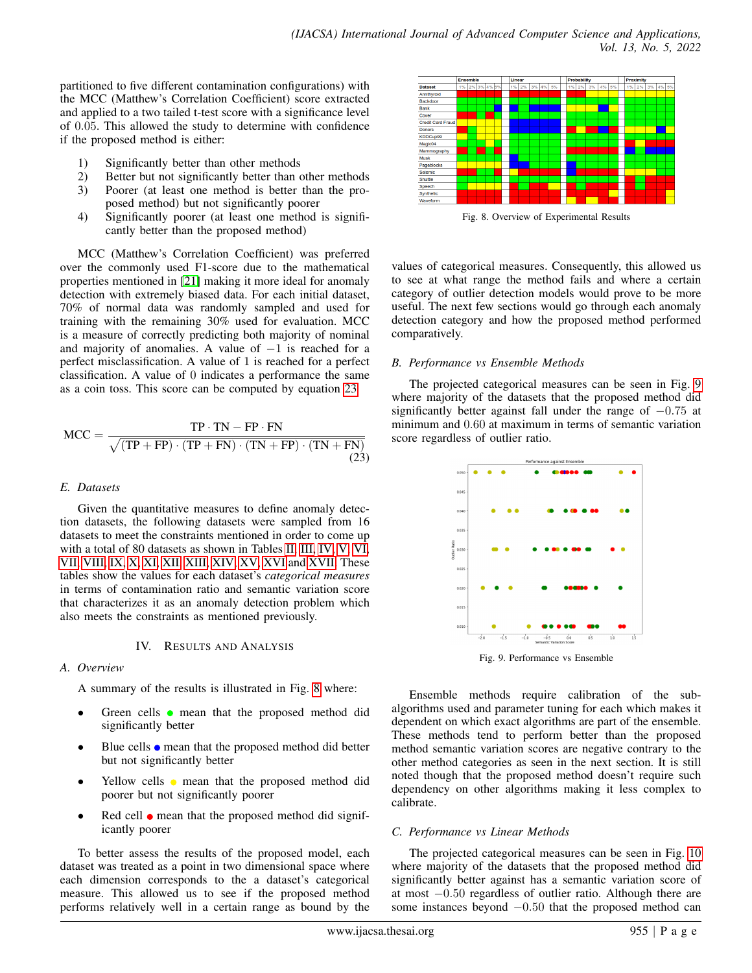partitioned to five different contamination configurations) with the MCC (Matthew's Correlation Coefficient) score extracted and applied to a two tailed t-test score with a significance level of 0.05. This allowed the study to determine with confidence if the proposed method is either:

- 1) Significantly better than other methods<br>2) Better but not significantly better than of
- Better but not significantly better than other methods 3) Poorer (at least one method is better than the pro-
- posed method) but not significantly poorer 4) Significantly poorer (at least one method is significantly better than the proposed method)

MCC (Matthew's Correlation Coefficient) was preferred over the commonly used F1-score due to the mathematical properties mentioned in [\[21\]](#page-10-16) making it more ideal for anomaly detection with extremely biased data. For each initial dataset, 70% of normal data was randomly sampled and used for training with the remaining 30% used for evaluation. MCC is a measure of correctly predicting both majority of nominal and majority of anomalies. A value of  $-1$  is reached for a perfect misclassification. A value of 1 is reached for a perfect classification. A value of 0 indicates a performance the same as a coin toss. This score can be computed by equation [23](#page-7-0)

<span id="page-7-0"></span>
$$
MCC = \frac{TP \cdot TN - FP \cdot FN}{\sqrt{(TP + FP) \cdot (TP + FN) \cdot (TN + FP) \cdot (TN + FN)}}
$$
\n(23)

# *E. Datasets*

Given the quantitative measures to define anomaly detection datasets, the following datasets were sampled from 16 datasets to meet the constraints mentioned in order to come up with a total of 80 datasets as shown in Tables [II,](#page-10-17) [III,](#page-10-18) [IV,](#page-10-19) [V,](#page-10-20) [VI,](#page-10-21) [VII,](#page-10-22) [VIII,](#page-10-23) [IX,](#page-10-24) [X,](#page-10-25) [XI,](#page-10-26) [XII,](#page-11-0) [XIII,](#page-11-1) [XIV,](#page-11-2) [XV,](#page-11-3) [XVI](#page-11-4) and [XVII.](#page-11-5) These tables show the values for each dataset's *categorical measures* in terms of contamination ratio and semantic variation score that characterizes it as an anomaly detection problem which also meets the constraints as mentioned previously.

## IV. RESULTS AND ANALYSIS

## *A. Overview*

A summary of the results is illustrated in Fig. [8](#page-7-1) where:

- Green cells  $\bullet$  mean that the proposed method did significantly better
- $\bullet$  Blue cells  $\bullet$  mean that the proposed method did better but not significantly better
- Yellow cells  $\bullet$  mean that the proposed method did poorer but not significantly poorer
- Red cell  $\bullet$  mean that the proposed method did significantly poorer

To better assess the results of the proposed model, each dataset was treated as a point in two dimensional space where each dimension corresponds to the a dataset's categorical measure. This allowed us to see if the proposed method performs relatively well in a certain range as bound by the

<span id="page-7-1"></span>

Fig. 8. Overview of Experimental Results

values of categorical measures. Consequently, this allowed us to see at what range the method fails and where a certain category of outlier detection models would prove to be more useful. The next few sections would go through each anomaly detection category and how the proposed method performed comparatively.

# *B. Performance vs Ensemble Methods*

The projected categorical measures can be seen in Fig. [9](#page-7-2) where majority of the datasets that the proposed method did significantly better against fall under the range of  $-0.75$  at minimum and 0.60 at maximum in terms of semantic variation score regardless of outlier ratio.

<span id="page-7-2"></span>

Fig. 9. Performance vs Ensemble

Ensemble methods require calibration of the subalgorithms used and parameter tuning for each which makes it dependent on which exact algorithms are part of the ensemble. These methods tend to perform better than the proposed method semantic variation scores are negative contrary to the other method categories as seen in the next section. It is still noted though that the proposed method doesn't require such dependency on other algorithms making it less complex to calibrate.

# *C. Performance vs Linear Methods*

The projected categorical measures can be seen in Fig. [10](#page-8-0) where majority of the datasets that the proposed method did significantly better against has a semantic variation score of at most −0.50 regardless of outlier ratio. Although there are some instances beyond  $-0.50$  that the proposed method can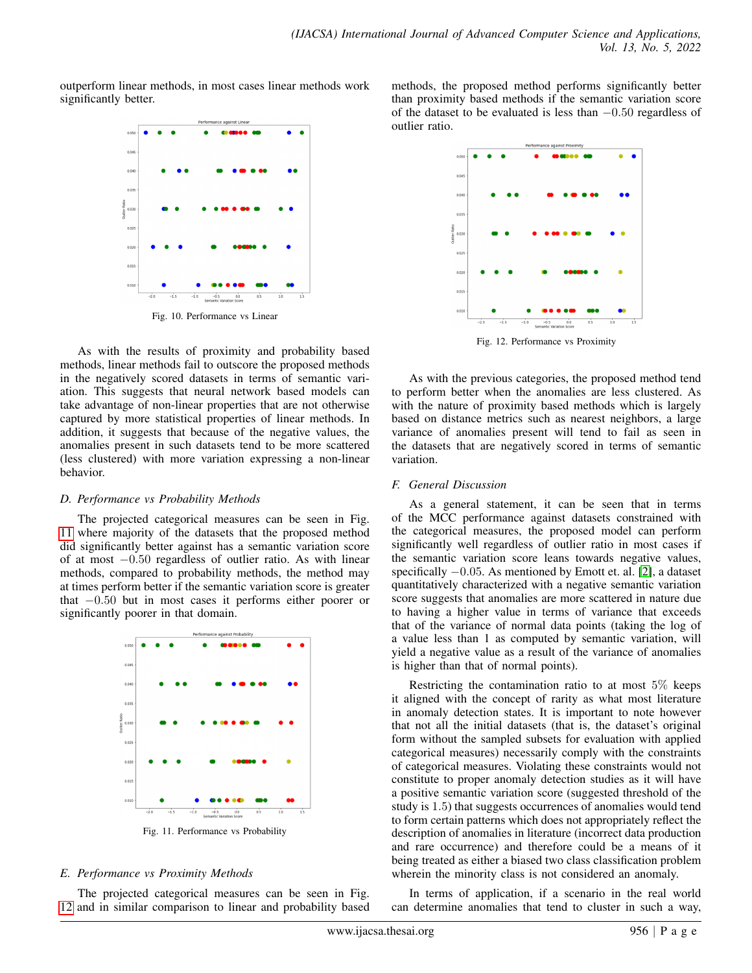<span id="page-8-0"></span>outperform linear methods, in most cases linear methods work significantly better.



As with the results of proximity and probability based methods, linear methods fail to outscore the proposed methods in the negatively scored datasets in terms of semantic variation. This suggests that neural network based models can take advantage of non-linear properties that are not otherwise captured by more statistical properties of linear methods. In addition, it suggests that because of the negative values, the anomalies present in such datasets tend to be more scattered (less clustered) with more variation expressing a non-linear behavior.

## *D. Performance vs Probability Methods*

The projected categorical measures can be seen in Fig. [11](#page-8-1) where majority of the datasets that the proposed method did significantly better against has a semantic variation score of at most −0.50 regardless of outlier ratio. As with linear methods, compared to probability methods, the method may at times perform better if the semantic variation score is greater that −0.50 but in most cases it performs either poorer or significantly poorer in that domain.

<span id="page-8-1"></span>

Fig. 11. Performance vs Probability

## *E. Performance vs Proximity Methods*

The projected categorical measures can be seen in Fig. [12](#page-8-2) and in similar comparison to linear and probability based <span id="page-8-2"></span>methods, the proposed method performs significantly better than proximity based methods if the semantic variation score of the dataset to be evaluated is less than  $-0.50$  regardless of outlier ratio.



Fig. 12. Performance vs Proximity

As with the previous categories, the proposed method tend to perform better when the anomalies are less clustered. As with the nature of proximity based methods which is largely based on distance metrics such as nearest neighbors, a large variance of anomalies present will tend to fail as seen in the datasets that are negatively scored in terms of semantic variation.

## *F. General Discussion*

As a general statement, it can be seen that in terms of the MCC performance against datasets constrained with the categorical measures, the proposed model can perform significantly well regardless of outlier ratio in most cases if the semantic variation score leans towards negative values, specifically  $-0.05$ . As mentioned by Emott et. al. [\[2\]](#page-9-1), a dataset quantitatively characterized with a negative semantic variation score suggests that anomalies are more scattered in nature due to having a higher value in terms of variance that exceeds that of the variance of normal data points (taking the log of a value less than 1 as computed by semantic variation, will yield a negative value as a result of the variance of anomalies is higher than that of normal points).

Restricting the contamination ratio to at most 5% keeps it aligned with the concept of rarity as what most literature in anomaly detection states. It is important to note however that not all the initial datasets (that is, the dataset's original form without the sampled subsets for evaluation with applied categorical measures) necessarily comply with the constraints of categorical measures. Violating these constraints would not constitute to proper anomaly detection studies as it will have a positive semantic variation score (suggested threshold of the study is 1.5) that suggests occurrences of anomalies would tend to form certain patterns which does not appropriately reflect the description of anomalies in literature (incorrect data production and rare occurrence) and therefore could be a means of it being treated as either a biased two class classification problem wherein the minority class is not considered an anomaly.

In terms of application, if a scenario in the real world can determine anomalies that tend to cluster in such a way,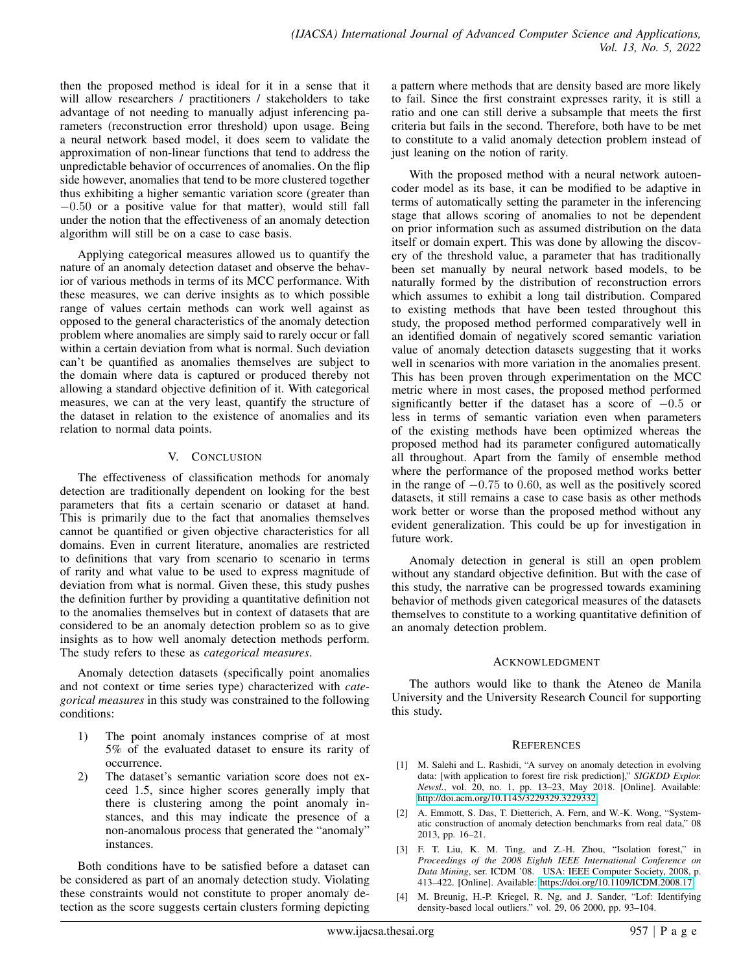then the proposed method is ideal for it in a sense that it will allow researchers / practitioners / stakeholders to take advantage of not needing to manually adjust inferencing parameters (reconstruction error threshold) upon usage. Being a neural network based model, it does seem to validate the approximation of non-linear functions that tend to address the unpredictable behavior of occurrences of anomalies. On the flip side however, anomalies that tend to be more clustered together thus exhibiting a higher semantic variation score (greater than −0.50 or a positive value for that matter), would still fall under the notion that the effectiveness of an anomaly detection algorithm will still be on a case to case basis.

Applying categorical measures allowed us to quantify the nature of an anomaly detection dataset and observe the behavior of various methods in terms of its MCC performance. With these measures, we can derive insights as to which possible range of values certain methods can work well against as opposed to the general characteristics of the anomaly detection problem where anomalies are simply said to rarely occur or fall within a certain deviation from what is normal. Such deviation can't be quantified as anomalies themselves are subject to the domain where data is captured or produced thereby not allowing a standard objective definition of it. With categorical measures, we can at the very least, quantify the structure of the dataset in relation to the existence of anomalies and its relation to normal data points.

# V. CONCLUSION

The effectiveness of classification methods for anomaly detection are traditionally dependent on looking for the best parameters that fits a certain scenario or dataset at hand. This is primarily due to the fact that anomalies themselves cannot be quantified or given objective characteristics for all domains. Even in current literature, anomalies are restricted to definitions that vary from scenario to scenario in terms of rarity and what value to be used to express magnitude of deviation from what is normal. Given these, this study pushes the definition further by providing a quantitative definition not to the anomalies themselves but in context of datasets that are considered to be an anomaly detection problem so as to give insights as to how well anomaly detection methods perform. The study refers to these as *categorical measures*.

Anomaly detection datasets (specifically point anomalies and not context or time series type) characterized with *categorical measures* in this study was constrained to the following conditions:

- 1) The point anomaly instances comprise of at most 5% of the evaluated dataset to ensure its rarity of occurrence.
- 2) The dataset's semantic variation score does not exceed 1.5, since higher scores generally imply that there is clustering among the point anomaly instances, and this may indicate the presence of a non-anomalous process that generated the "anomaly" instances.

Both conditions have to be satisfied before a dataset can be considered as part of an anomaly detection study. Violating these constraints would not constitute to proper anomaly detection as the score suggests certain clusters forming depicting a pattern where methods that are density based are more likely to fail. Since the first constraint expresses rarity, it is still a ratio and one can still derive a subsample that meets the first criteria but fails in the second. Therefore, both have to be met to constitute to a valid anomaly detection problem instead of just leaning on the notion of rarity.

With the proposed method with a neural network autoencoder model as its base, it can be modified to be adaptive in terms of automatically setting the parameter in the inferencing stage that allows scoring of anomalies to not be dependent on prior information such as assumed distribution on the data itself or domain expert. This was done by allowing the discovery of the threshold value, a parameter that has traditionally been set manually by neural network based models, to be naturally formed by the distribution of reconstruction errors which assumes to exhibit a long tail distribution. Compared to existing methods that have been tested throughout this study, the proposed method performed comparatively well in an identified domain of negatively scored semantic variation value of anomaly detection datasets suggesting that it works well in scenarios with more variation in the anomalies present. This has been proven through experimentation on the MCC metric where in most cases, the proposed method performed significantly better if the dataset has a score of −0.5 or less in terms of semantic variation even when parameters of the existing methods have been optimized whereas the proposed method had its parameter configured automatically all throughout. Apart from the family of ensemble method where the performance of the proposed method works better in the range of −0.75 to 0.60, as well as the positively scored datasets, it still remains a case to case basis as other methods work better or worse than the proposed method without any evident generalization. This could be up for investigation in future work.

Anomaly detection in general is still an open problem without any standard objective definition. But with the case of this study, the narrative can be progressed towards examining behavior of methods given categorical measures of the datasets themselves to constitute to a working quantitative definition of an anomaly detection problem.

## ACKNOWLEDGMENT

The authors would like to thank the Ateneo de Manila University and the University Research Council for supporting this study.

## **REFERENCES**

- <span id="page-9-0"></span>[1] M. Salehi and L. Rashidi, "A survey on anomaly detection in evolving data: [with application to forest fire risk prediction]," *SIGKDD Explor. Newsl.*, vol. 20, no. 1, pp. 13–23, May 2018. [Online]. Available: <http://doi.acm.org/10.1145/3229329.3229332>
- <span id="page-9-1"></span>[2] A. Emmott, S. Das, T. Dietterich, A. Fern, and W.-K. Wong, "Systematic construction of anomaly detection benchmarks from real data," 08 2013, pp. 16–21.
- <span id="page-9-2"></span>[3] F. T. Liu, K. M. Ting, and Z.-H. Zhou, "Isolation forest," in *Proceedings of the 2008 Eighth IEEE International Conference on Data Mining*, ser. ICDM '08. USA: IEEE Computer Society, 2008, p. 413–422. [Online]. Available:<https://doi.org/10.1109/ICDM.2008.17>
- <span id="page-9-3"></span>[4] M. Breunig, H.-P. Kriegel, R. Ng, and J. Sander, "Lof: Identifying density-based local outliers." vol. 29, 06 2000, pp. 93–104.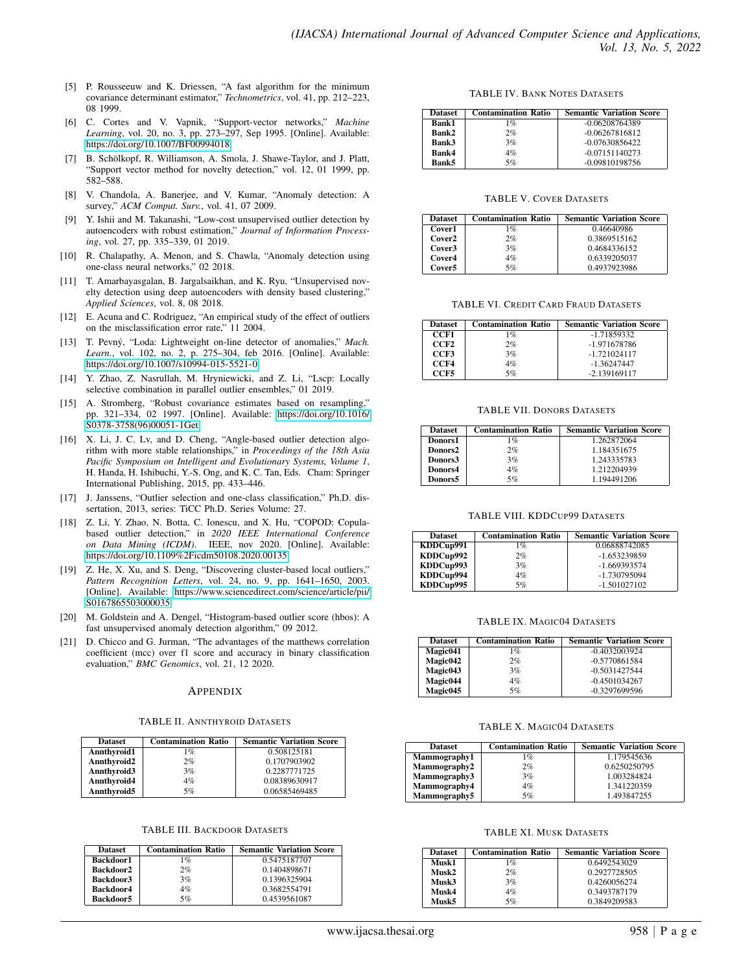- <span id="page-10-0"></span>[5] P. Rousseeuw and K. Driessen, "A fast algorithm for the minimum covariance determinant estimator," *Technometrics*, vol. 41, pp. 212–223, 08 1999.
- <span id="page-10-1"></span>[6] C. Cortes and V. Vapnik, "Support-vector networks," *Machine Learning*, vol. 20, no. 3, pp. 273–297, Sep 1995. [Online]. Available: <https://doi.org/10.1007/BF00994018>
- <span id="page-10-2"></span>[7] B. Schölkopf, R. Williamson, A. Smola, J. Shawe-Taylor, and J. Platt, "Support vector method for novelty detection," vol. 12, 01 1999, pp. 582–588.
- <span id="page-10-3"></span>[8] V. Chandola, A. Banerjee, and V. Kumar, "Anomaly detection: A survey," *ACM Comput. Surv.*, vol. 41, 07 2009.
- <span id="page-10-4"></span>[9] Y. Ishii and M. Takanashi, "Low-cost unsupervised outlier detection by autoencoders with robust estimation," *Journal of Information Processing*, vol. 27, pp. 335–339, 01 2019.
- <span id="page-10-5"></span>[10] R. Chalapathy, A. Menon, and S. Chawla, "Anomaly detection using one-class neural networks," 02 2018.
- <span id="page-10-6"></span>[11] T. Amarbayasgalan, B. Jargalsaikhan, and K. Ryu, "Unsupervised novelty detection using deep autoencoders with density based clustering," *Applied Sciences*, vol. 8, 08 2018.
- <span id="page-10-7"></span>[12] E. Acuna and C. Rodriguez, "An empirical study of the effect of outliers on the misclassification error rate," 11 2004.
- <span id="page-10-8"></span>[13] T. Pevný, "Loda: Lightweight on-line detector of anomalies," Mach. *Learn.*, vol. 102, no. 2, p. 275–304, feb 2016. [Online]. Available: <https://doi.org/10.1007/s10994-015-5521-0>
- <span id="page-10-9"></span>[14] Y. Zhao, Z. Nasrullah, M. Hryniewicki, and Z. Li, "Lscp: Locally selective combination in parallel outlier ensembles," 01 2019.
- <span id="page-10-10"></span>[15] A. Stromberg, "Robust covariance estimates based on resampling," pp. 321–334, 02 1997. [Online]. Available: [https://doi.org/10.1016/](https://doi.org/10.1016/S0378-3758(96)00051-1Get) [S0378-3758\(96\)00051-1Get](https://doi.org/10.1016/S0378-3758(96)00051-1Get)
- <span id="page-10-11"></span>[16] X. Li, J. C. Lv, and D. Cheng, "Angle-based outlier detection algorithm with more stable relationships," in *Proceedings of the 18th Asia Pacific Symposium on Intelligent and Evolutionary Systems, Volume 1*, H. Handa, H. Ishibuchi, Y.-S. Ong, and K. C. Tan, Eds. Cham: Springer International Publishing, 2015, pp. 433–446.
- <span id="page-10-12"></span>[17] J. Janssens, "Outlier selection and one-class classification," Ph.D. dissertation, 2013, series: TiCC Ph.D. Series Volume: 27.
- <span id="page-10-13"></span>[18] Z. Li, Y. Zhao, N. Botta, C. Ionescu, and X. Hu, "COPOD: Copulabased outlier detection," in *2020 IEEE International Conference on Data Mining (ICDM)*. IEEE, nov 2020. [Online]. Available: <https://doi.org/10.1109%2Ficdm50108.2020.00135>
- <span id="page-10-14"></span>[19] Z. He, X. Xu, and S. Deng, "Discovering cluster-based local outliers," *Pattern Recognition Letters*, vol. 24, no. 9, pp. 1641–1650, 2003. [Online]. Available: [https://www.sciencedirect.com/science/article/pii/](https://www.sciencedirect.com/science/article/pii/S0167865503000035) [S0167865503000035](https://www.sciencedirect.com/science/article/pii/S0167865503000035)
- <span id="page-10-15"></span>[20] M. Goldstein and A. Dengel, "Histogram-based outlier score (hbos): A fast unsupervised anomaly detection algorithm," 09 2012.
- <span id="page-10-16"></span>[21] D. Chicco and G. Jurman, "The advantages of the matthews correlation coefficient (mcc) over f1 score and accuracy in binary classification evaluation," *BMC Genomics*, vol. 21, 12 2020.

#### APPENDIX

#### TABLE II. ANNTHYROID DATASETS

<span id="page-10-17"></span>

| <b>Dataset</b> | <b>Contamination Ratio</b> | <b>Semantic Variation Score</b> |
|----------------|----------------------------|---------------------------------|
| Annthyroid1    | $1\%$                      | 0.508125181                     |
| Annthyroid2    | 2%                         | 0.1707903902                    |
| Annthyroid3    | 3%                         | 0.2287771725                    |
| Annthyroid4    | 4%                         | 0.08389630917                   |
| Annthyroid5    | 5%                         | 0.06585469485                   |

#### TABLE III. BACKDOOR DATASETS

<span id="page-10-18"></span>

| <b>Dataset</b> | <b>Contamination Ratio</b> | <b>Semantic Variation Score</b> |
|----------------|----------------------------|---------------------------------|
| Backdoor1      | 1%                         | 0.5475187707                    |
| Backdoor2      | 2%                         | 0.1404898671                    |
| Backdoor3      | 3%                         | 0.1396325904                    |
| Backdoor4      | $4\%$                      | 0.3682554791                    |
| Backdoor5      | 5%                         | 0.4539561087                    |

#### TABLE IV. BANK NOTES DATASETS

<span id="page-10-19"></span>

| <b>Dataset</b> | <b>Contamination Ratio</b> | <b>Semantic Variation Score</b> |
|----------------|----------------------------|---------------------------------|
| <b>Bank1</b>   | 1%                         | $-0.06208764389$                |
| Bank2          | 2%                         | $-0.06267816812$                |
| Bank3          | 3%                         | $-0.07630856422$                |
| Bank4          | $4\%$                      | $-0.07151140273$                |
| Bank5          | 5%                         | $-0.09810198756$                |

#### TABLE V. COVER DATASETS

<span id="page-10-20"></span>

| <b>Dataset</b>     | <b>Contamination Ratio</b> | <b>Semantic Variation Score</b> |
|--------------------|----------------------------|---------------------------------|
| Cover1             | 1%                         | 0.46640986                      |
| Cover <sub>2</sub> | 2%                         | 0.3869515162                    |
| Cover3             | 3%                         | 0.4684336152                    |
| Cover4             | $4\%$                      | 0.6339205037                    |
| Cover5             | 5%                         | 0.4937923986                    |

#### TABLE VI. CREDIT CARD FRAUD DATASETS

<span id="page-10-21"></span>

| <b>Dataset</b>   | <b>Contamination Ratio</b> | <b>Semantic Variation Score</b> |
|------------------|----------------------------|---------------------------------|
| CCF1             | 1%                         | -1.71859332                     |
| CCF <sub>2</sub> | 2%                         | -1.971678786                    |
| CCF3             | 3%                         | $-1.721024117$                  |
| CCF4             | $4\%$                      | $-1.36247447$                   |
| CCF5             | 5%                         | $-2.139169117$                  |

#### TABLE VII. DONORS DATASETS

<span id="page-10-22"></span>

| <b>Dataset</b>      | <b>Contamination Ratio</b> | <b>Semantic Variation Score</b> |
|---------------------|----------------------------|---------------------------------|
| Donors1             | 1%                         | 1.262872064                     |
| Donors <sub>2</sub> | 2%                         | 1.184351675                     |
| Donors3             | 3%                         | 1.243335783                     |
| Donors4             | 4%                         | 1.212204939                     |
| Donors5             | 5%                         | 1.194491206                     |

#### TABLE VIII. KDDCUP99 DATASETS

<span id="page-10-23"></span>

| <b>Dataset</b> | <b>Contamination Ratio</b> | <b>Semantic Variation Score</b> |
|----------------|----------------------------|---------------------------------|
| KDDCup991      | $1\%$                      | 0.06888742085                   |
| KDDCup992      | 2%                         | -1.653239859                    |
| KDDCup993      | 3%                         | $-1.669393574$                  |
| KDDCup994      | $4\%$                      | -1.730795094                    |
| KDDCup995      | 5%                         | $-1.501027102$                  |

#### TABLE IX. MAGIC04 DATASETS

<span id="page-10-24"></span>

| <b>Dataset</b> | <b>Contamination Ratio</b> | <b>Semantic Variation Score</b> |
|----------------|----------------------------|---------------------------------|
| Magic041       | $1\%$                      | $-0.4032003924$                 |
| Magic042       | 2%                         | $-0.5770861584$                 |
| Magic043       | 3%                         | $-0.5031427544$                 |
| Magic044       | $4\%$                      | $-0.4501034267$                 |
| Magic045       | 5%                         | -0.3297699596                   |

#### TABLE X. MAGIC04 DATASETS

<span id="page-10-25"></span>

| <b>Dataset</b> | <b>Contamination Ratio</b> | <b>Semantic Variation Score</b> |
|----------------|----------------------------|---------------------------------|
| Mammography1   | 1 %                        | 1.179545636                     |
| Mammography2   | 2%                         | 0.6250250795                    |
| Mammography3   | 3%                         | 1.003284824                     |
| Mammography4   | 4%                         | 1.341220359                     |
| Mammography5   | 5%                         | 1.493847255                     |

#### TABLE XI. MUSK DATASETS

<span id="page-10-26"></span>

| <b>Dataset</b> | <b>Contamination Ratio</b> | <b>Semantic Variation Score</b> |
|----------------|----------------------------|---------------------------------|
| Musk1          | 1%                         | 0.6492543029                    |
| Musk2          | 2%                         | 0.2927728505                    |
| Musk3          | 3%                         | 0.4260056274                    |
| Musk4          | 4%                         | 0.3493787179                    |
| Musk5          | 5%                         | 0.3849209583                    |